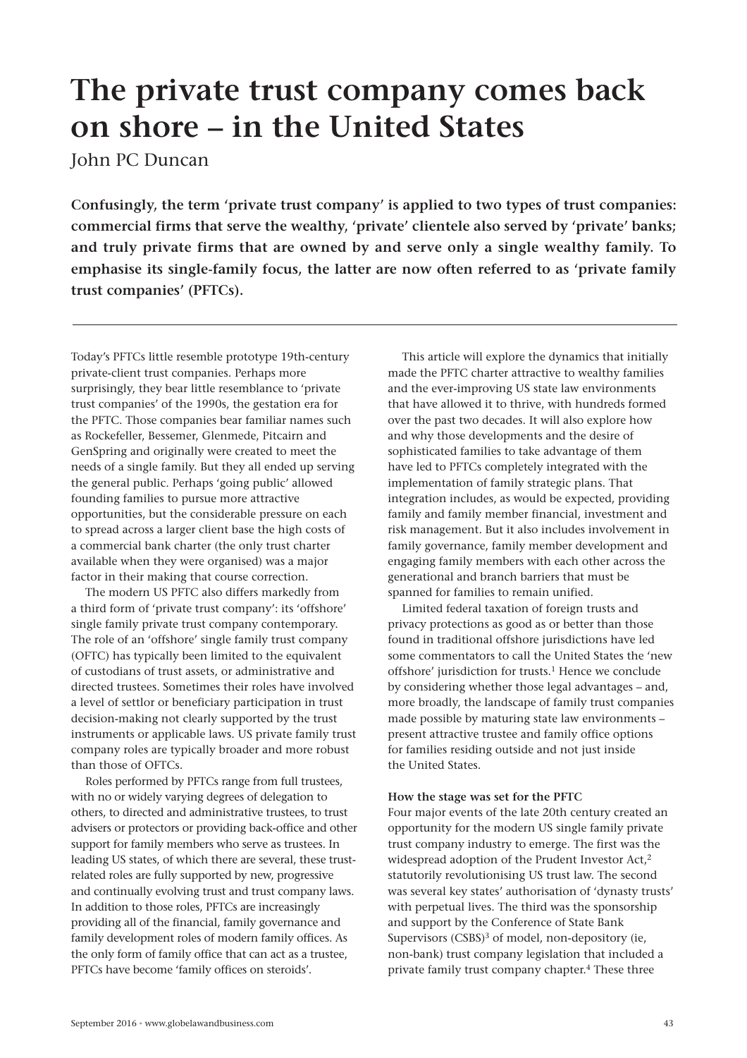# **The private trust company comes back on shore – in the United States**

John PC Duncan

**Confusingly, the term 'private trust company' is applied to two types of trust companies: commercial firms that serve the wealthy, 'private' clientele also served by 'private' banks; and truly private firms that are owned by and serve only a single wealthy family. To emphasise its single-family focus, the latter are now often referred to as 'private family trust companies' (PFTCs).**

Today's PFTCs little resemble prototype 19th-century private-client trust companies. Perhaps more surprisingly, they bear little resemblance to 'private trust companies' of the 1990s, the gestation era for the PFTC. Those companies bear familiar names such as Rockefeller, Bessemer, Glenmede, Pitcairn and GenSpring and originally were created to meet the needs of a single family. But they all ended up serving the general public. Perhaps 'going public' allowed founding families to pursue more attractive opportunities, but the considerable pressure on each to spread across a larger client base the high costs of a commercial bank charter (the only trust charter available when they were organised) was a major factor in their making that course correction.

The modern US PFTC also differs markedly from a third form of 'private trust company': its 'offshore' single family private trust company contemporary. The role of an 'offshore' single family trust company (OFTC) has typically been limited to the equivalent of custodians of trust assets, or administrative and directed trustees. Sometimes their roles have involved a level of settlor or beneficiary participation in trust decision-making not clearly supported by the trust instruments or applicable laws. US private family trust company roles are typically broader and more robust than those of OFTCs.

Roles performed by PFTCs range from full trustees, with no or widely varying degrees of delegation to others, to directed and administrative trustees, to trust advisers or protectors or providing back-office and other support for family members who serve as trustees. In leading US states, of which there are several, these trustrelated roles are fully supported by new, progressive and continually evolving trust and trust company laws. In addition to those roles, PFTCs are increasingly providing all of the financial, family governance and family development roles of modern family offices. As the only form of family office that can act as a trustee, PFTCs have become 'family offices on steroids'.

This article will explore the dynamics that initially made the PFTC charter attractive to wealthy families and the ever-improving US state law environments that have allowed it to thrive, with hundreds formed over the past two decades. It will also explore how and why those developments and the desire of sophisticated families to take advantage of them have led to PFTCs completely integrated with the implementation of family strategic plans. That integration includes, as would be expected, providing family and family member financial, investment and risk management. But it also includes involvement in family governance, family member development and engaging family members with each other across the generational and branch barriers that must be spanned for families to remain unified.

Limited federal taxation of foreign trusts and privacy protections as good as or better than those found in traditional offshore jurisdictions have led some commentators to call the United States the 'new offshore' jurisdiction for trusts.<sup>1</sup> Hence we conclude by considering whether those legal advantages – and, more broadly, the landscape of family trust companies made possible by maturing state law environments – present attractive trustee and family office options for families residing outside and not just inside the United States.

# **How the stage was set for the PFTC**

Four major events of the late 20th century created an opportunity for the modern US single family private trust company industry to emerge. The first was the widespread adoption of the Prudent Investor Act,<sup>2</sup> statutorily revolutionising US trust law. The second was several key states' authorisation of 'dynasty trusts' with perpetual lives. The third was the sponsorship and support by the Conference of State Bank Supervisors (CSBS)<sup>3</sup> of model, non-depository (ie, non-bank) trust company legislation that included a private family trust company chapter.4 These three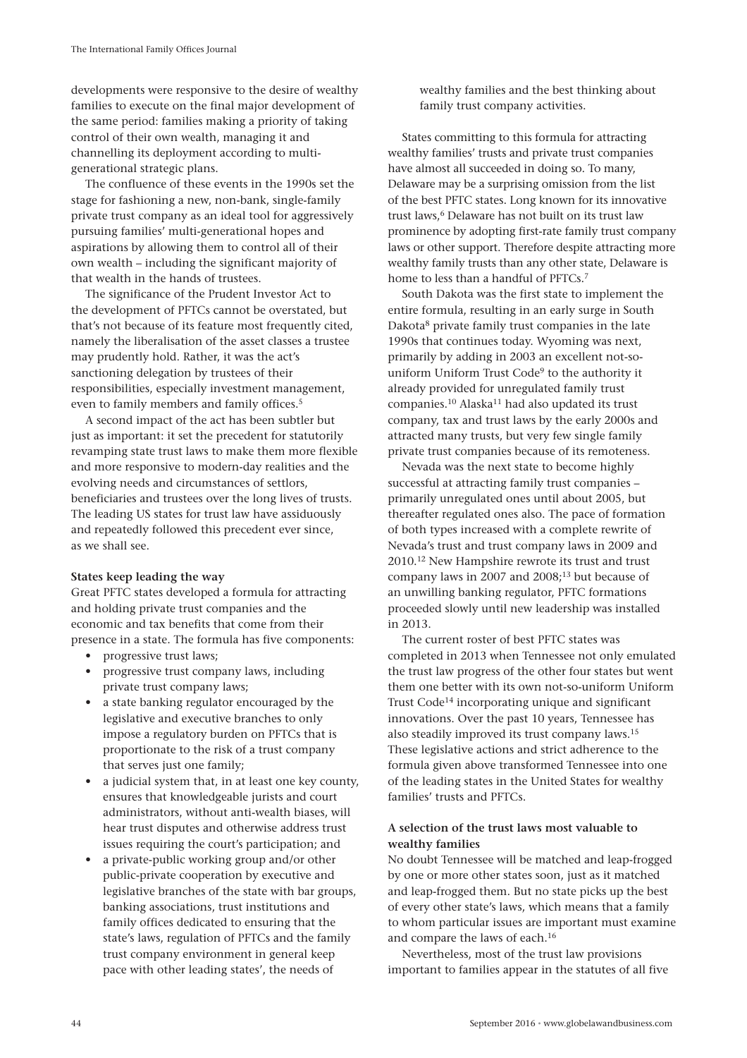developments were responsive to the desire of wealthy families to execute on the final major development of the same period: families making a priority of taking control of their own wealth, managing it and channelling its deployment according to multigenerational strategic plans.

The confluence of these events in the 1990s set the stage for fashioning a new, non-bank, single-family private trust company as an ideal tool for aggressively pursuing families' multi-generational hopes and aspirations by allowing them to control all of their own wealth – including the significant majority of that wealth in the hands of trustees.

The significance of the Prudent Investor Act to the development of PFTCs cannot be overstated, but that's not because of its feature most frequently cited, namely the liberalisation of the asset classes a trustee may prudently hold. Rather, it was the act's sanctioning delegation by trustees of their responsibilities, especially investment management, even to family members and family offices.<sup>5</sup>

A second impact of the act has been subtler but just as important: it set the precedent for statutorily revamping state trust laws to make them more flexible and more responsive to modern-day realities and the evolving needs and circumstances of settlors, beneficiaries and trustees over the long lives of trusts. The leading US states for trust law have assiduously and repeatedly followed this precedent ever since, as we shall see.

## **States keep leading the way**

Great PFTC states developed a formula for attracting and holding private trust companies and the economic and tax benefits that come from their presence in a state. The formula has five components:

- progressive trust laws;
- progressive trust company laws, including private trust company laws;
- a state banking regulator encouraged by the legislative and executive branches to only impose a regulatory burden on PFTCs that is proportionate to the risk of a trust company that serves just one family:
- a judicial system that, in at least one key county, ensures that knowledgeable jurists and court administrators, without anti-wealth biases, will hear trust disputes and otherwise address trust issues requiring the court's participation; and
- a private-public working group and/or other public-private cooperation by executive and legislative branches of the state with bar groups, banking associations, trust institutions and family offices dedicated to ensuring that the state's laws, regulation of PFTCs and the family trust company environment in general keep pace with other leading states', the needs of

wealthy families and the best thinking about family trust company activities.

States committing to this formula for attracting wealthy families' trusts and private trust companies have almost all succeeded in doing so. To many, Delaware may be a surprising omission from the list of the best PFTC states. Long known for its innovative trust laws,<sup>6</sup> Delaware has not built on its trust law prominence by adopting first-rate family trust company laws or other support. Therefore despite attracting more wealthy family trusts than any other state, Delaware is home to less than a handful of PFTCs.<sup>7</sup>

South Dakota was the first state to implement the entire formula, resulting in an early surge in South Dakota<sup>8</sup> private family trust companies in the late 1990s that continues today. Wyoming was next, primarily by adding in 2003 an excellent not-souniform Uniform Trust Code<sup>9</sup> to the authority it already provided for unregulated family trust companies.<sup>10</sup> Alaska<sup>11</sup> had also updated its trust company, tax and trust laws by the early 2000s and attracted many trusts, but very few single family private trust companies because of its remoteness.

Nevada was the next state to become highly successful at attracting family trust companies – primarily unregulated ones until about 2005, but thereafter regulated ones also. The pace of formation of both types increased with a complete rewrite of Nevada's trust and trust company laws in 2009 and 2010.12 New Hampshire rewrote its trust and trust company laws in 2007 and 2008;<sup>13</sup> but because of an unwilling banking regulator, PFTC formations proceeded slowly until new leadership was installed in 2013.

The current roster of best PFTC states was completed in 2013 when Tennessee not only emulated the trust law progress of the other four states but went them one better with its own not-so-uniform Uniform Trust Code<sup>14</sup> incorporating unique and significant innovations. Over the past 10 years, Tennessee has also steadily improved its trust company laws.15 These legislative actions and strict adherence to the formula given above transformed Tennessee into one of the leading states in the United States for wealthy families' trusts and PFTCs.

# **A selection of the trust laws most valuable to wealthy families**

No doubt Tennessee will be matched and leap-frogged by one or more other states soon, just as it matched and leap-frogged them. But no state picks up the best of every other state's laws, which means that a family to whom particular issues are important must examine and compare the laws of each.16

Nevertheless, most of the trust law provisions important to families appear in the statutes of all five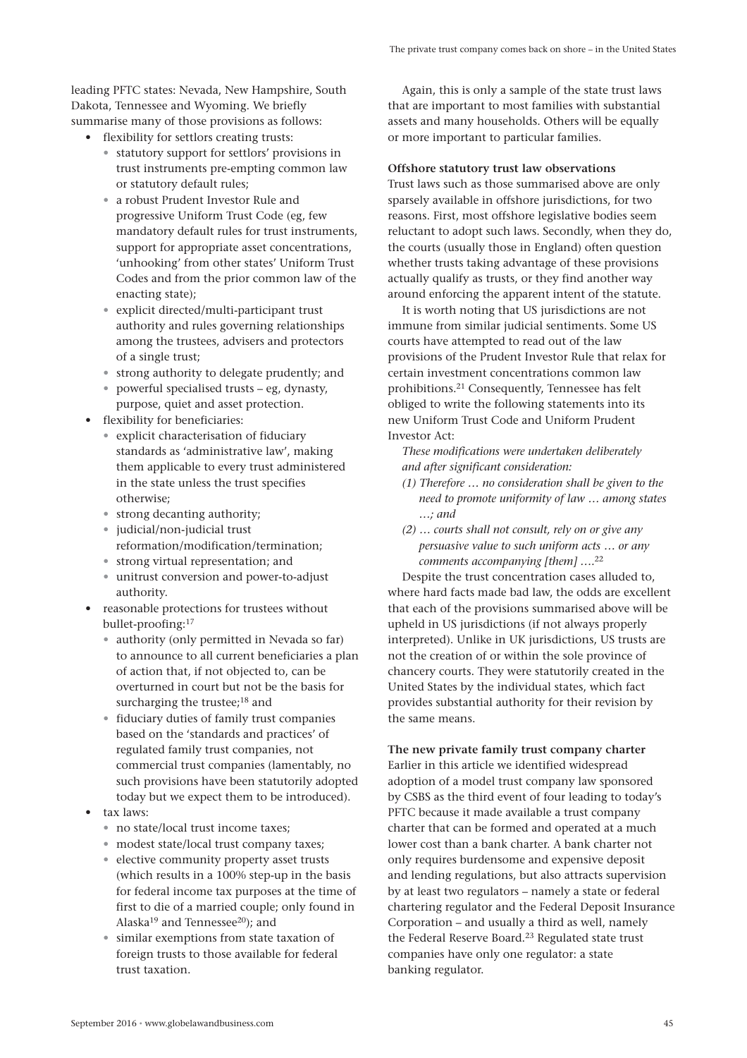leading PFTC states: Nevada, New Hampshire, South Dakota, Tennessee and Wyoming. We briefly summarise many of those provisions as follows:

- flexibility for settlors creating trusts:
	- statutory support for settlors' provisions in trust instruments pre-empting common law or statutory default rules;
	- a robust Prudent Investor Rule and progressive Uniform Trust Code (eg, few mandatory default rules for trust instruments, support for appropriate asset concentrations, 'unhooking' from other states' Uniform Trust Codes and from the prior common law of the enacting state);
	- explicit directed/multi-participant trust authority and rules governing relationships among the trustees, advisers and protectors of a single trust;
	- strong authority to delegate prudently; and
	- powerful specialised trusts eg, dynasty, purpose, quiet and asset protection.
- flexibility for beneficiaries:
	- explicit characterisation of fiduciary standards as 'administrative law', making them applicable to every trust administered in the state unless the trust specifies otherwise;
	- strong decanting authority;
	- judicial/non-judicial trust reformation/modification/termination;
	- strong virtual representation; and
	- unitrust conversion and power-to-adjust authority.
- reasonable protections for trustees without bullet-proofing:17
	- authority (only permitted in Nevada so far) to announce to all current beneficiaries a plan of action that, if not objected to, can be overturned in court but not be the basis for surcharging the trustee;<sup>18</sup> and
	- fiduciary duties of family trust companies based on the 'standards and practices' of regulated family trust companies, not commercial trust companies (lamentably, no such provisions have been statutorily adopted today but we expect them to be introduced).
- tax laws:
	- no state/local trust income taxes;
	- modest state/local trust company taxes;
	- elective community property asset trusts (which results in a 100% step-up in the basis for federal income tax purposes at the time of first to die of a married couple; only found in Alaska<sup>19</sup> and Tennessee<sup>20</sup>); and
	- similar exemptions from state taxation of foreign trusts to those available for federal trust taxation.

Again, this is only a sample of the state trust laws that are important to most families with substantial assets and many households. Others will be equally or more important to particular families.

#### **Offshore statutory trust law observations**

Trust laws such as those summarised above are only sparsely available in offshore jurisdictions, for two reasons. First, most offshore legislative bodies seem reluctant to adopt such laws. Secondly, when they do, the courts (usually those in England) often question whether trusts taking advantage of these provisions actually qualify as trusts, or they find another way around enforcing the apparent intent of the statute.

It is worth noting that US jurisdictions are not immune from similar judicial sentiments. Some US courts have attempted to read out of the law provisions of the Prudent Investor Rule that relax for certain investment concentrations common law prohibitions.21 Consequently, Tennessee has felt obliged to write the following statements into its new Uniform Trust Code and Uniform Prudent Investor Act:

*These modifications were undertaken deliberately and after significant consideration:*

- *(1) Therefore … no consideration shall be given to the need to promote uniformity of law … among states …; and*
- *(2) … courts shall not consult, rely on or give any persuasive value to such uniform acts … or any comments accompanying [them] ….*<sup>22</sup>

Despite the trust concentration cases alluded to, where hard facts made bad law, the odds are excellent that each of the provisions summarised above will be upheld in US jurisdictions (if not always properly interpreted). Unlike in UK jurisdictions, US trusts are not the creation of or within the sole province of chancery courts. They were statutorily created in the United States by the individual states, which fact provides substantial authority for their revision by the same means.

**The new private family trust company charter** Earlier in this article we identified widespread adoption of a model trust company law sponsored by CSBS as the third event of four leading to today's PFTC because it made available a trust company charter that can be formed and operated at a much lower cost than a bank charter. A bank charter not only requires burdensome and expensive deposit and lending regulations, but also attracts supervision by at least two regulators – namely a state or federal chartering regulator and the Federal Deposit Insurance Corporation – and usually a third as well, namely the Federal Reserve Board.<sup>23</sup> Regulated state trust companies have only one regulator: a state banking regulator.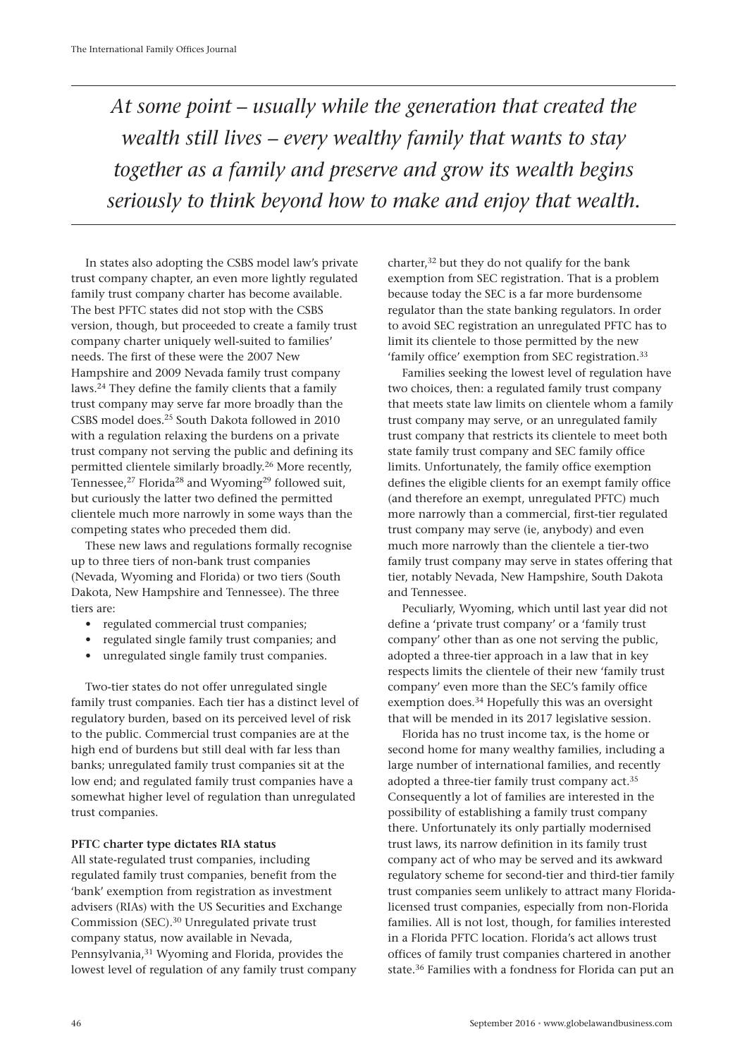*At some point – usually while the generation that created the wealth still lives – every wealthy family that wants to stay together as a family and preserve and grow its wealth begins seriously to think beyond how to make and enjoy that wealth.*

In states also adopting the CSBS model law's private trust company chapter, an even more lightly regulated family trust company charter has become available. The best PFTC states did not stop with the CSBS version, though, but proceeded to create a family trust company charter uniquely well-suited to families' needs. The first of these were the 2007 New Hampshire and 2009 Nevada family trust company laws.24 They define the family clients that a family trust company may serve far more broadly than the CSBS model does.25 South Dakota followed in 2010 with a regulation relaxing the burdens on a private trust company not serving the public and defining its permitted clientele similarly broadly.26 More recently, Tennessee,<sup>27</sup> Florida<sup>28</sup> and Wyoming<sup>29</sup> followed suit, but curiously the latter two defined the permitted clientele much more narrowly in some ways than the competing states who preceded them did.

These new laws and regulations formally recognise up to three tiers of non-bank trust companies (Nevada, Wyoming and Florida) or two tiers (South Dakota, New Hampshire and Tennessee). The three tiers are:

- regulated commercial trust companies;
- regulated single family trust companies; and
- unregulated single family trust companies.

Two-tier states do not offer unregulated single family trust companies. Each tier has a distinct level of regulatory burden, based on its perceived level of risk to the public. Commercial trust companies are at the high end of burdens but still deal with far less than banks; unregulated family trust companies sit at the low end; and regulated family trust companies have a somewhat higher level of regulation than unregulated trust companies.

## **PFTC charter type dictates RIA status**

All state-regulated trust companies, including regulated family trust companies, benefit from the 'bank' exemption from registration as investment advisers (RIAs) with the US Securities and Exchange Commission (SEC).30 Unregulated private trust company status, now available in Nevada, Pennsylvania,<sup>31</sup> Wyoming and Florida, provides the lowest level of regulation of any family trust company charter,32 but they do not qualify for the bank exemption from SEC registration. That is a problem because today the SEC is a far more burdensome regulator than the state banking regulators. In order to avoid SEC registration an unregulated PFTC has to limit its clientele to those permitted by the new 'family office' exemption from SEC registration.<sup>33</sup>

Families seeking the lowest level of regulation have two choices, then: a regulated family trust company that meets state law limits on clientele whom a family trust company may serve, or an unregulated family trust company that restricts its clientele to meet both state family trust company and SEC family office limits. Unfortunately, the family office exemption defines the eligible clients for an exempt family office (and therefore an exempt, unregulated PFTC) much more narrowly than a commercial, first-tier regulated trust company may serve (ie, anybody) and even much more narrowly than the clientele a tier-two family trust company may serve in states offering that tier, notably Nevada, New Hampshire, South Dakota and Tennessee.

Peculiarly, Wyoming, which until last year did not define a 'private trust company' or a 'family trust company' other than as one not serving the public, adopted a three-tier approach in a law that in key respects limits the clientele of their new 'family trust company' even more than the SEC's family office exemption does.34 Hopefully this was an oversight that will be mended in its 2017 legislative session.

Florida has no trust income tax, is the home or second home for many wealthy families, including a large number of international families, and recently adopted a three-tier family trust company act.<sup>35</sup> Consequently a lot of families are interested in the possibility of establishing a family trust company there. Unfortunately its only partially modernised trust laws, its narrow definition in its family trust company act of who may be served and its awkward regulatory scheme for second-tier and third-tier family trust companies seem unlikely to attract many Floridalicensed trust companies, especially from non-Florida families. All is not lost, though, for families interested in a Florida PFTC location. Florida's act allows trust offices of family trust companies chartered in another state.36 Families with a fondness for Florida can put an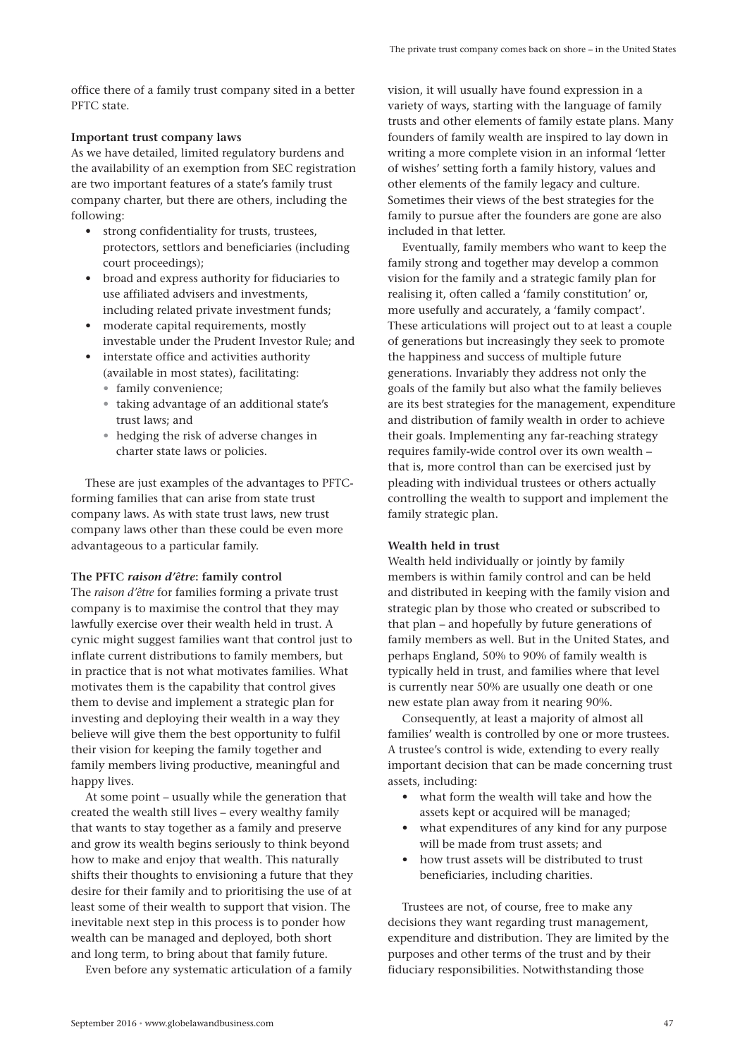office there of a family trust company sited in a better PFTC state.

## **Important trust company laws**

As we have detailed, limited regulatory burdens and the availability of an exemption from SEC registration are two important features of a state's family trust company charter, but there are others, including the following:

- strong confidentiality for trusts, trustees, protectors, settlors and beneficiaries (including court proceedings);
- broad and express authority for fiduciaries to use affiliated advisers and investments, including related private investment funds;
- moderate capital requirements, mostly investable under the Prudent Investor Rule; and
- interstate office and activities authority (available in most states), facilitating:
	- family convenience;
	- taking advantage of an additional state's trust laws; and
	- hedging the risk of adverse changes in charter state laws or policies.

These are just examples of the advantages to PFTCforming families that can arise from state trust company laws. As with state trust laws, new trust company laws other than these could be even more advantageous to a particular family.

## **The PFTC** *raison d'être***: family control**

The *raison d'être* for families forming a private trust company is to maximise the control that they may lawfully exercise over their wealth held in trust. A cynic might suggest families want that control just to inflate current distributions to family members, but in practice that is not what motivates families. What motivates them is the capability that control gives them to devise and implement a strategic plan for investing and deploying their wealth in a way they believe will give them the best opportunity to fulfil their vision for keeping the family together and family members living productive, meaningful and happy lives.

At some point – usually while the generation that created the wealth still lives – every wealthy family that wants to stay together as a family and preserve and grow its wealth begins seriously to think beyond how to make and enjoy that wealth. This naturally shifts their thoughts to envisioning a future that they desire for their family and to prioritising the use of at least some of their wealth to support that vision. The inevitable next step in this process is to ponder how wealth can be managed and deployed, both short and long term, to bring about that family future.

Even before any systematic articulation of a family

vision, it will usually have found expression in a variety of ways, starting with the language of family trusts and other elements of family estate plans. Many founders of family wealth are inspired to lay down in writing a more complete vision in an informal 'letter of wishes' setting forth a family history, values and other elements of the family legacy and culture. Sometimes their views of the best strategies for the family to pursue after the founders are gone are also included in that letter.

Eventually, family members who want to keep the family strong and together may develop a common vision for the family and a strategic family plan for realising it, often called a 'family constitution' or, more usefully and accurately, a 'family compact'. These articulations will project out to at least a couple of generations but increasingly they seek to promote the happiness and success of multiple future generations. Invariably they address not only the goals of the family but also what the family believes are its best strategies for the management, expenditure and distribution of family wealth in order to achieve their goals. Implementing any far-reaching strategy requires family-wide control over its own wealth – that is, more control than can be exercised just by pleading with individual trustees or others actually controlling the wealth to support and implement the family strategic plan.

## **Wealth held in trust**

Wealth held individually or jointly by family members is within family control and can be held and distributed in keeping with the family vision and strategic plan by those who created or subscribed to that plan – and hopefully by future generations of family members as well. But in the United States, and perhaps England, 50% to 90% of family wealth is typically held in trust, and families where that level is currently near 50% are usually one death or one new estate plan away from it nearing 90%.

Consequently, at least a majority of almost all families' wealth is controlled by one or more trustees. A trustee's control is wide, extending to every really important decision that can be made concerning trust assets, including:

- what form the wealth will take and how the assets kept or acquired will be managed;
- what expenditures of any kind for any purpose will be made from trust assets; and
- how trust assets will be distributed to trust beneficiaries, including charities.

Trustees are not, of course, free to make any decisions they want regarding trust management, expenditure and distribution. They are limited by the purposes and other terms of the trust and by their fiduciary responsibilities. Notwithstanding those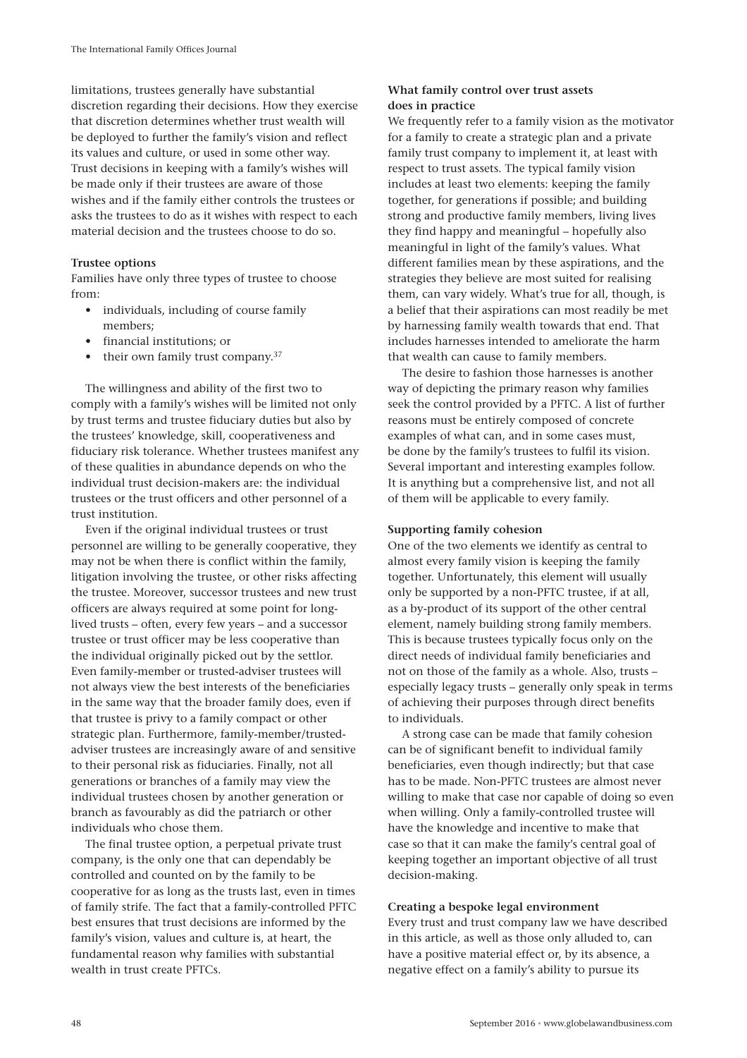limitations, trustees generally have substantial discretion regarding their decisions. How they exercise that discretion determines whether trust wealth will be deployed to further the family's vision and reflect its values and culture, or used in some other way. Trust decisions in keeping with a family's wishes will be made only if their trustees are aware of those wishes and if the family either controls the trustees or asks the trustees to do as it wishes with respect to each material decision and the trustees choose to do so.

## **Trustee options**

Families have only three types of trustee to choose from:

- individuals, including of course family members;
- financial institutions; or
- their own family trust company.<sup>37</sup>

The willingness and ability of the first two to comply with a family's wishes will be limited not only by trust terms and trustee fiduciary duties but also by the trustees' knowledge, skill, cooperativeness and fiduciary risk tolerance. Whether trustees manifest any of these qualities in abundance depends on who the individual trust decision-makers are: the individual trustees or the trust officers and other personnel of a trust institution.

Even if the original individual trustees or trust personnel are willing to be generally cooperative, they may not be when there is conflict within the family, litigation involving the trustee, or other risks affecting the trustee. Moreover, successor trustees and new trust officers are always required at some point for longlived trusts – often, every few years – and a successor trustee or trust officer may be less cooperative than the individual originally picked out by the settlor. Even family-member or trusted-adviser trustees will not always view the best interests of the beneficiaries in the same way that the broader family does, even if that trustee is privy to a family compact or other strategic plan. Furthermore, family-member/trustedadviser trustees are increasingly aware of and sensitive to their personal risk as fiduciaries. Finally, not all generations or branches of a family may view the individual trustees chosen by another generation or branch as favourably as did the patriarch or other individuals who chose them.

The final trustee option, a perpetual private trust company, is the only one that can dependably be controlled and counted on by the family to be cooperative for as long as the trusts last, even in times of family strife. The fact that a family-controlled PFTC best ensures that trust decisions are informed by the family's vision, values and culture is, at heart, the fundamental reason why families with substantial wealth in trust create PFTCs.

# **What family control over trust assets does in practice**

We frequently refer to a family vision as the motivator for a family to create a strategic plan and a private family trust company to implement it, at least with respect to trust assets. The typical family vision includes at least two elements: keeping the family together, for generations if possible; and building strong and productive family members, living lives they find happy and meaningful – hopefully also meaningful in light of the family's values. What different families mean by these aspirations, and the strategies they believe are most suited for realising them, can vary widely. What's true for all, though, is a belief that their aspirations can most readily be met by harnessing family wealth towards that end. That includes harnesses intended to ameliorate the harm that wealth can cause to family members.

The desire to fashion those harnesses is another way of depicting the primary reason why families seek the control provided by a PFTC. A list of further reasons must be entirely composed of concrete examples of what can, and in some cases must, be done by the family's trustees to fulfil its vision. Several important and interesting examples follow. It is anything but a comprehensive list, and not all of them will be applicable to every family.

## **Supporting family cohesion**

One of the two elements we identify as central to almost every family vision is keeping the family together. Unfortunately, this element will usually only be supported by a non-PFTC trustee, if at all, as a by-product of its support of the other central element, namely building strong family members. This is because trustees typically focus only on the direct needs of individual family beneficiaries and not on those of the family as a whole. Also, trusts – especially legacy trusts – generally only speak in terms of achieving their purposes through direct benefits to individuals.

A strong case can be made that family cohesion can be of significant benefit to individual family beneficiaries, even though indirectly; but that case has to be made. Non-PFTC trustees are almost never willing to make that case nor capable of doing so even when willing. Only a family-controlled trustee will have the knowledge and incentive to make that case so that it can make the family's central goal of keeping together an important objective of all trust decision-making.

## **Creating a bespoke legal environment**

Every trust and trust company law we have described in this article, as well as those only alluded to, can have a positive material effect or, by its absence, a negative effect on a family's ability to pursue its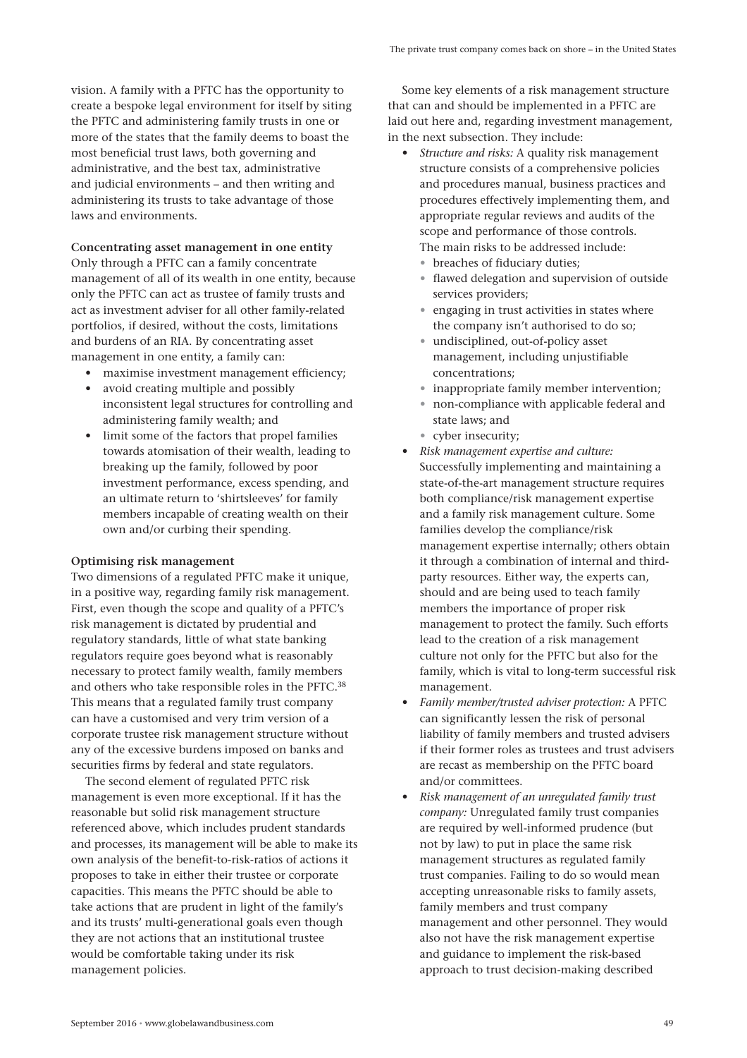vision. A family with a PFTC has the opportunity to create a bespoke legal environment for itself by siting the PFTC and administering family trusts in one or more of the states that the family deems to boast the most beneficial trust laws, both governing and administrative, and the best tax, administrative and judicial environments – and then writing and administering its trusts to take advantage of those laws and environments.

**Concentrating asset management in one entity** Only through a PFTC can a family concentrate management of all of its wealth in one entity, because only the PFTC can act as trustee of family trusts and act as investment adviser for all other family-related portfolios, if desired, without the costs, limitations and burdens of an RIA. By concentrating asset management in one entity, a family can:

- maximise investment management efficiency;
- avoid creating multiple and possibly inconsistent legal structures for controlling and administering family wealth; and
- limit some of the factors that propel families towards atomisation of their wealth, leading to breaking up the family, followed by poor investment performance, excess spending, and an ultimate return to 'shirtsleeves' for family members incapable of creating wealth on their own and/or curbing their spending.

## **Optimising risk management**

Two dimensions of a regulated PFTC make it unique, in a positive way, regarding family risk management. First, even though the scope and quality of a PFTC's risk management is dictated by prudential and regulatory standards, little of what state banking regulators require goes beyond what is reasonably necessary to protect family wealth, family members and others who take responsible roles in the PFTC.38 This means that a regulated family trust company can have a customised and very trim version of a corporate trustee risk management structure without any of the excessive burdens imposed on banks and securities firms by federal and state regulators.

The second element of regulated PFTC risk management is even more exceptional. If it has the reasonable but solid risk management structure referenced above, which includes prudent standards and processes, its management will be able to make its own analysis of the benefit-to-risk-ratios of actions it proposes to take in either their trustee or corporate capacities. This means the PFTC should be able to take actions that are prudent in light of the family's and its trusts' multi-generational goals even though they are not actions that an institutional trustee would be comfortable taking under its risk management policies.

Some key elements of a risk management structure that can and should be implemented in a PFTC are laid out here and, regarding investment management, in the next subsection. They include:

- *Structure and risks:* A quality risk management structure consists of a comprehensive policies and procedures manual, business practices and procedures effectively implementing them, and appropriate regular reviews and audits of the scope and performance of those controls. The main risks to be addressed include:
	- breaches of fiduciary duties;
	- flawed delegation and supervision of outside services providers;
	- engaging in trust activities in states where the company isn't authorised to do so;
	- undisciplined, out-of-policy asset management, including unjustifiable concentrations;
	- inappropriate family member intervention;
	- non-compliance with applicable federal and state laws; and
	- cyber insecurity;
- *Risk management expertise and culture:* Successfully implementing and maintaining a state-of-the-art management structure requires both compliance/risk management expertise and a family risk management culture. Some families develop the compliance/risk management expertise internally; others obtain it through a combination of internal and thirdparty resources. Either way, the experts can, should and are being used to teach family members the importance of proper risk management to protect the family. Such efforts lead to the creation of a risk management culture not only for the PFTC but also for the family, which is vital to long-term successful risk management.
- *Family member/trusted adviser protection:* A PFTC can significantly lessen the risk of personal liability of family members and trusted advisers if their former roles as trustees and trust advisers are recast as membership on the PFTC board and/or committees.
- *Risk management of an unregulated family trust company:* Unregulated family trust companies are required by well-informed prudence (but not by law) to put in place the same risk management structures as regulated family trust companies. Failing to do so would mean accepting unreasonable risks to family assets, family members and trust company management and other personnel. They would also not have the risk management expertise and guidance to implement the risk-based approach to trust decision-making described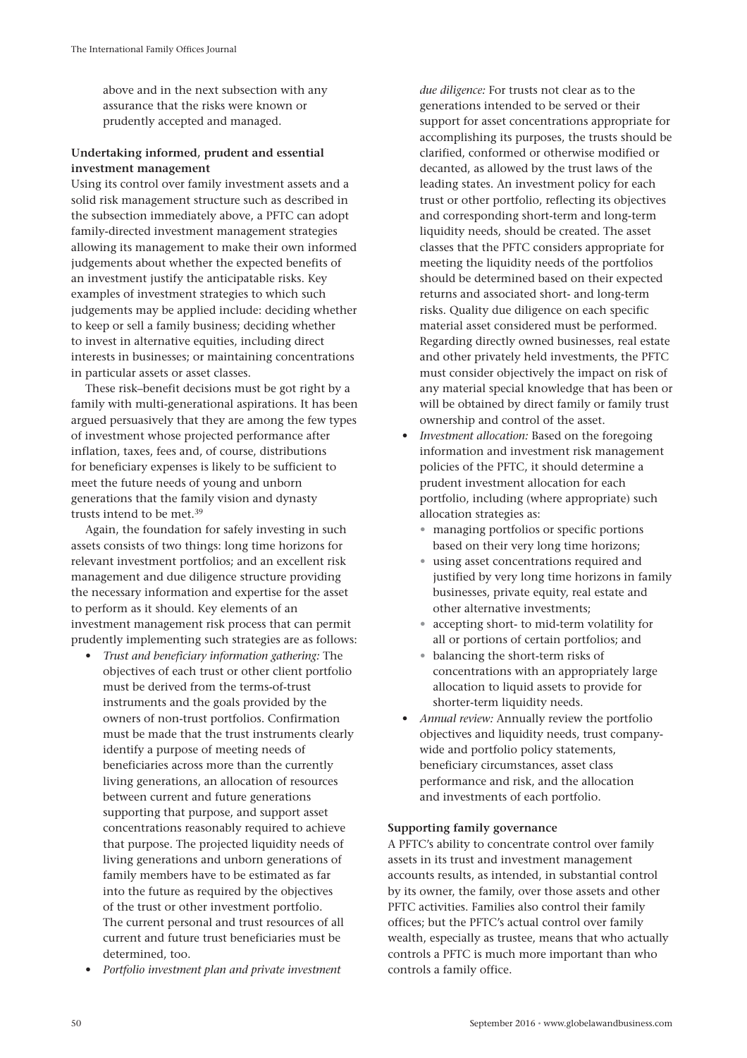above and in the next subsection with any assurance that the risks were known or prudently accepted and managed.

# **Undertaking informed, prudent and essential investment management**

Using its control over family investment assets and a solid risk management structure such as described in the subsection immediately above, a PFTC can adopt family-directed investment management strategies allowing its management to make their own informed judgements about whether the expected benefits of an investment justify the anticipatable risks. Key examples of investment strategies to which such judgements may be applied include: deciding whether to keep or sell a family business; deciding whether to invest in alternative equities, including direct interests in businesses; or maintaining concentrations in particular assets or asset classes.

These risk–benefit decisions must be got right by a family with multi-generational aspirations. It has been argued persuasively that they are among the few types of investment whose projected performance after inflation, taxes, fees and, of course, distributions for beneficiary expenses is likely to be sufficient to meet the future needs of young and unborn generations that the family vision and dynasty trusts intend to be met.39

Again, the foundation for safely investing in such assets consists of two things: long time horizons for relevant investment portfolios; and an excellent risk management and due diligence structure providing the necessary information and expertise for the asset to perform as it should. Key elements of an investment management risk process that can permit prudently implementing such strategies are as follows:

- *Trust and beneficiary information gathering:* The objectives of each trust or other client portfolio must be derived from the terms-of-trust instruments and the goals provided by the owners of non-trust portfolios. Confirmation must be made that the trust instruments clearly identify a purpose of meeting needs of beneficiaries across more than the currently living generations, an allocation of resources between current and future generations supporting that purpose, and support asset concentrations reasonably required to achieve that purpose. The projected liquidity needs of living generations and unborn generations of family members have to be estimated as far into the future as required by the objectives of the trust or other investment portfolio. The current personal and trust resources of all current and future trust beneficiaries must be determined, too.
- *Portfolio investment plan and private investment*

*due diligence:* For trusts not clear as to the generations intended to be served or their support for asset concentrations appropriate for accomplishing its purposes, the trusts should be clarified, conformed or otherwise modified or decanted, as allowed by the trust laws of the leading states. An investment policy for each trust or other portfolio, reflecting its objectives and corresponding short-term and long-term liquidity needs, should be created. The asset classes that the PFTC considers appropriate for meeting the liquidity needs of the portfolios should be determined based on their expected returns and associated short- and long-term risks. Quality due diligence on each specific material asset considered must be performed. Regarding directly owned businesses, real estate and other privately held investments, the PFTC must consider objectively the impact on risk of any material special knowledge that has been or will be obtained by direct family or family trust ownership and control of the asset.

- *Investment allocation:* Based on the foregoing information and investment risk management policies of the PFTC, it should determine a prudent investment allocation for each portfolio, including (where appropriate) such allocation strategies as:
	- managing portfolios or specific portions based on their very long time horizons;
	- using asset concentrations required and justified by very long time horizons in family businesses, private equity, real estate and other alternative investments;
	- accepting short- to mid-term volatility for all or portions of certain portfolios; and
	- balancing the short-term risks of concentrations with an appropriately large allocation to liquid assets to provide for shorter-term liquidity needs.
- *Annual review:* Annually review the portfolio objectives and liquidity needs, trust companywide and portfolio policy statements, beneficiary circumstances, asset class performance and risk, and the allocation and investments of each portfolio.

# **Supporting family governance**

A PFTC's ability to concentrate control over family assets in its trust and investment management accounts results, as intended, in substantial control by its owner, the family, over those assets and other PFTC activities. Families also control their family offices; but the PFTC's actual control over family wealth, especially as trustee, means that who actually controls a PFTC is much more important than who controls a family office.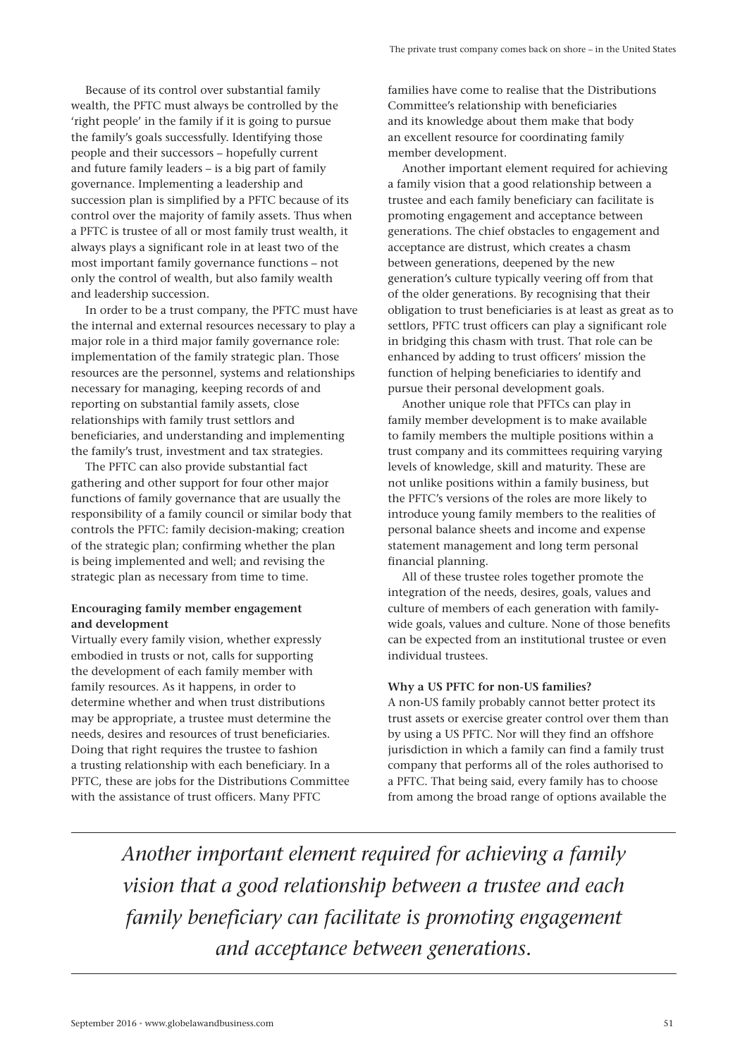Because of its control over substantial family wealth, the PFTC must always be controlled by the 'right people' in the family if it is going to pursue the family's goals successfully. Identifying those people and their successors – hopefully current and future family leaders – is a big part of family governance. Implementing a leadership and succession plan is simplified by a PFTC because of its control over the majority of family assets. Thus when a PFTC is trustee of all or most family trust wealth, it always plays a significant role in at least two of the most important family governance functions – not only the control of wealth, but also family wealth and leadership succession.

In order to be a trust company, the PFTC must have the internal and external resources necessary to play a major role in a third major family governance role: implementation of the family strategic plan. Those resources are the personnel, systems and relationships necessary for managing, keeping records of and reporting on substantial family assets, close relationships with family trust settlors and beneficiaries, and understanding and implementing the family's trust, investment and tax strategies.

The PFTC can also provide substantial fact gathering and other support for four other major functions of family governance that are usually the responsibility of a family council or similar body that controls the PFTC: family decision-making; creation of the strategic plan; confirming whether the plan is being implemented and well; and revising the strategic plan as necessary from time to time.

# **Encouraging family member engagement and development**

Virtually every family vision, whether expressly embodied in trusts or not, calls for supporting the development of each family member with family resources. As it happens, in order to determine whether and when trust distributions may be appropriate, a trustee must determine the needs, desires and resources of trust beneficiaries. Doing that right requires the trustee to fashion a trusting relationship with each beneficiary. In a PFTC, these are jobs for the Distributions Committee with the assistance of trust officers. Many PFTC

families have come to realise that the Distributions Committee's relationship with beneficiaries and its knowledge about them make that body an excellent resource for coordinating family member development.

Another important element required for achieving a family vision that a good relationship between a trustee and each family beneficiary can facilitate is promoting engagement and acceptance between generations. The chief obstacles to engagement and acceptance are distrust, which creates a chasm between generations, deepened by the new generation's culture typically veering off from that of the older generations. By recognising that their obligation to trust beneficiaries is at least as great as to settlors, PFTC trust officers can play a significant role in bridging this chasm with trust. That role can be enhanced by adding to trust officers' mission the function of helping beneficiaries to identify and pursue their personal development goals.

Another unique role that PFTCs can play in family member development is to make available to family members the multiple positions within a trust company and its committees requiring varying levels of knowledge, skill and maturity. These are not unlike positions within a family business, but the PFTC's versions of the roles are more likely to introduce young family members to the realities of personal balance sheets and income and expense statement management and long term personal financial planning.

All of these trustee roles together promote the integration of the needs, desires, goals, values and culture of members of each generation with familywide goals, values and culture. None of those benefits can be expected from an institutional trustee or even individual trustees.

## **Why a US PFTC for non-US families?**

A non-US family probably cannot better protect its trust assets or exercise greater control over them than by using a US PFTC. Nor will they find an offshore jurisdiction in which a family can find a family trust company that performs all of the roles authorised to a PFTC. That being said, every family has to choose from among the broad range of options available the

*Another important element required for achieving a family vision that a good relationship between a trustee and each family beneficiary can facilitate is promoting engagement and acceptance between generations.*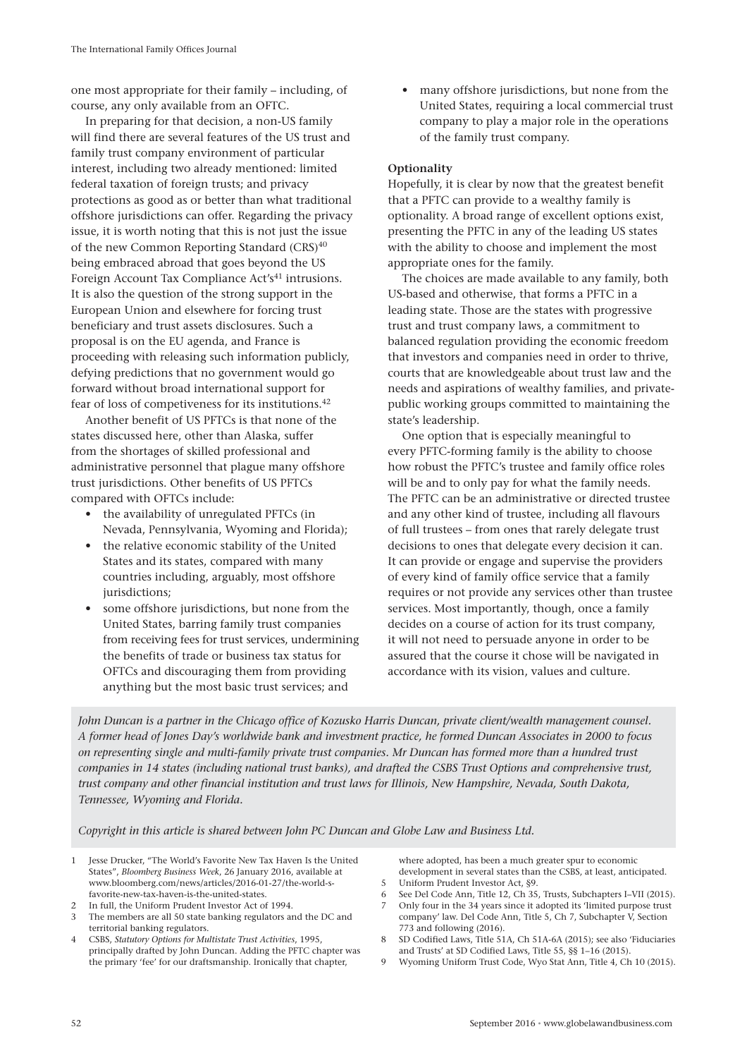one most appropriate for their family – including, of course, any only available from an OFTC.

In preparing for that decision, a non-US family will find there are several features of the US trust and family trust company environment of particular interest, including two already mentioned: limited federal taxation of foreign trusts; and privacy protections as good as or better than what traditional offshore jurisdictions can offer. Regarding the privacy issue, it is worth noting that this is not just the issue of the new Common Reporting Standard (CRS)40 being embraced abroad that goes beyond the US Foreign Account Tax Compliance Act's<sup>41</sup> intrusions. It is also the question of the strong support in the European Union and elsewhere for forcing trust beneficiary and trust assets disclosures. Such a proposal is on the EU agenda, and France is proceeding with releasing such information publicly, defying predictions that no government would go forward without broad international support for fear of loss of competiveness for its institutions.42

Another benefit of US PFTCs is that none of the states discussed here, other than Alaska, suffer from the shortages of skilled professional and administrative personnel that plague many offshore trust jurisdictions. Other benefits of US PFTCs compared with OFTCs include:

- the availability of unregulated PFTCs (in Nevada, Pennsylvania, Wyoming and Florida);
- the relative economic stability of the United States and its states, compared with many countries including, arguably, most offshore jurisdictions:
- some offshore jurisdictions, but none from the United States, barring family trust companies from receiving fees for trust services, undermining the benefits of trade or business tax status for OFTCs and discouraging them from providing anything but the most basic trust services; and

• many offshore jurisdictions, but none from the United States, requiring a local commercial trust company to play a major role in the operations of the family trust company.

# **Optionality**

Hopefully, it is clear by now that the greatest benefit that a PFTC can provide to a wealthy family is optionality. A broad range of excellent options exist, presenting the PFTC in any of the leading US states with the ability to choose and implement the most appropriate ones for the family.

The choices are made available to any family, both US-based and otherwise, that forms a PFTC in a leading state. Those are the states with progressive trust and trust company laws, a commitment to balanced regulation providing the economic freedom that investors and companies need in order to thrive, courts that are knowledgeable about trust law and the needs and aspirations of wealthy families, and privatepublic working groups committed to maintaining the state's leadership.

One option that is especially meaningful to every PFTC-forming family is the ability to choose how robust the PFTC's trustee and family office roles will be and to only pay for what the family needs. The PFTC can be an administrative or directed trustee and any other kind of trustee, including all flavours of full trustees – from ones that rarely delegate trust decisions to ones that delegate every decision it can. It can provide or engage and supervise the providers of every kind of family office service that a family requires or not provide any services other than trustee services. Most importantly, though, once a family decides on a course of action for its trust company, it will not need to persuade anyone in order to be assured that the course it chose will be navigated in accordance with its vision, values and culture.

*John Duncan is a partner in the Chicago office of Kozusko Harris Duncan, private client/wealth management counsel. A former head of Jones Day's worldwide bank and investment practice, he formed Duncan Associates in 2000 to focus on representing single and multi-family private trust companies. Mr Duncan has formed more than a hundred trust companies in 14 states (including national trust banks), and drafted the CSBS Trust Options and comprehensive trust, trust company and other financial institution and trust laws for Illinois, New Hampshire, Nevada, South Dakota, Tennessee, Wyoming and Florida.*

*Copyright in this article is shared between John PC Duncan and Globe Law and Business Ltd.*

- 1 Jesse Drucker, "The World's Favorite New Tax Haven Is the United States", *Bloomberg Business Week*, 26 January 2016, available at www.bloomberg.com/news/articles/2016-01-27/the-world-sfavorite-new-tax-haven-is-the-united-states.
- 2 In full, the Uniform Prudent Investor Act of 1994.
- The members are all 50 state banking regulators and the DC and territorial banking regulators.
- 4 CSBS, *Statutory Options for Multistate Trust Activities*, 1995, principally drafted by John Duncan. Adding the PFTC chapter was the primary 'fee' for our draftsmanship. Ironically that chapter,

where adopted, has been a much greater spur to economic development in several states than the CSBS, at least, anticipated. 5 Uniform Prudent Investor Act, §9.

- 
- 6 See Del Code Ann, Title 12, Ch 35, Trusts, Subchapters I–VII (2015). 7 Only four in the 34 years since it adopted its 'limited purpose trust company' law. Del Code Ann, Title 5, Ch 7, Subchapter V, Section 773 and following (2016).
- 8 SD Codified Laws, Title 51A, Ch 51A-6A (2015); see also 'Fiduciaries and Trusts' at SD Codified Laws, Title 55, §§ 1–16 (2015).
- 9 Wyoming Uniform Trust Code, Wyo Stat Ann, Title 4, Ch 10 (2015).